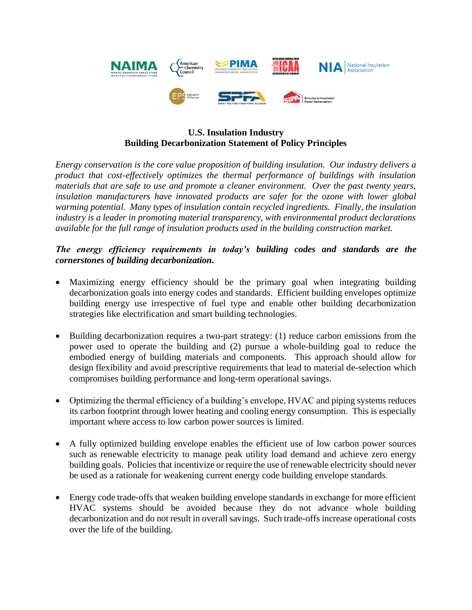

## **U.S. Insulation Industry Building Decarbonization Statement of Policy Principles**

*Energy conservation is the core value proposition of building insulation. Our industry delivers a product that cost-effectively optimizes the thermal performance of buildings with insulation materials that are safe to use and promote a cleaner environment. Over the past twenty years, insulation manufacturers have innovated products are safer for the ozone with lower global warming potential. Many types of insulation contain recycled ingredients. Finally, the insulation industry is a leader in promoting material transparency, with environmental product declarations available for the full range of insulation products used in the building construction market.*

## *The energy efficiency requirements in today's building codes and standards are the cornerstones of building decarbonization.*

- Maximizing energy efficiency should be the primary goal when integrating building decarbonization goals into energy codes and standards. Efficient building envelopes optimize building energy use irrespective of fuel type and enable other building decarbonization strategies like electrification and smart building technologies.
- Building decarbonization requires a two-part strategy: (1) reduce carbon emissions from the power used to operate the building and (2) pursue a whole-building goal to reduce the embodied energy of building materials and components. This approach should allow for design flexibility and avoid prescriptive requirements that lead to material de-selection which compromises building performance and long-term operational savings.
- Optimizing the thermal efficiency of a building's envelope, HVAC and piping systems reduces its carbon footprint through lower heating and cooling energy consumption. This is especially important where access to low carbon power sources is limited.
- A fully optimized building envelope enables the efficient use of low carbon power sources such as renewable electricity to manage peak utility load demand and achieve zero energy building goals. Policies that incentivize or require the use of renewable electricity should never be used as a rationale for weakening current energy code building envelope standards.
- Energy code trade-offs that weaken building envelope standards in exchange for more efficient HVAC systems should be avoided because they do not advance whole building decarbonization and do not result in overall savings. Such trade-offs increase operational costs over the life of the building.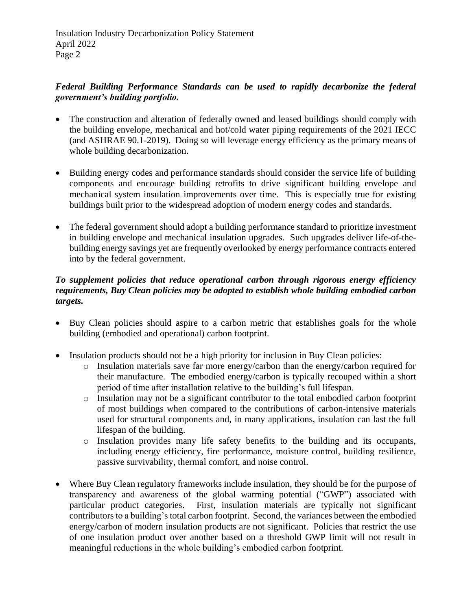## *Federal Building Performance Standards can be used to rapidly decarbonize the federal government's building portfolio.*

- The construction and alteration of federally owned and leased buildings should comply with the building envelope, mechanical and hot/cold water piping requirements of the 2021 IECC (and ASHRAE 90.1-2019). Doing so will leverage energy efficiency as the primary means of whole building decarbonization.
- Building energy codes and performance standards should consider the service life of building components and encourage building retrofits to drive significant building envelope and mechanical system insulation improvements over time. This is especially true for existing buildings built prior to the widespread adoption of modern energy codes and standards.
- The federal government should adopt a building performance standard to prioritize investment in building envelope and mechanical insulation upgrades. Such upgrades deliver life-of-thebuilding energy savings yet are frequently overlooked by energy performance contracts entered into by the federal government.

## *To supplement policies that reduce operational carbon through rigorous energy efficiency requirements, Buy Clean policies may be adopted to establish whole building embodied carbon targets.*

- Buy Clean policies should aspire to a carbon metric that establishes goals for the whole building (embodied and operational) carbon footprint.
- Insulation products should not be a high priority for inclusion in Buy Clean policies:
	- o Insulation materials save far more energy/carbon than the energy/carbon required for their manufacture. The embodied energy/carbon is typically recouped within a short period of time after installation relative to the building's full lifespan.
	- o Insulation may not be a significant contributor to the total embodied carbon footprint of most buildings when compared to the contributions of carbon-intensive materials used for structural components and, in many applications, insulation can last the full lifespan of the building.
	- o Insulation provides many life safety benefits to the building and its occupants, including energy efficiency, fire performance, moisture control, building resilience, passive survivability, thermal comfort, and noise control.
- Where Buy Clean regulatory frameworks include insulation, they should be for the purpose of transparency and awareness of the global warming potential ("GWP") associated with particular product categories. First, insulation materials are typically not significant contributors to a building's total carbon footprint. Second, the variances between the embodied energy/carbon of modern insulation products are not significant. Policies that restrict the use of one insulation product over another based on a threshold GWP limit will not result in meaningful reductions in the whole building's embodied carbon footprint.